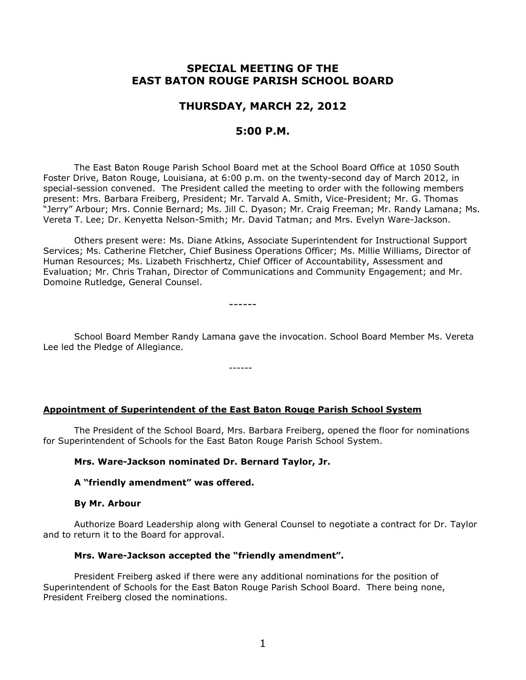# **SPECIAL MEETING OF THE EAST BATON ROUGE PARISH SCHOOL BOARD**

## **THURSDAY, MARCH 22, 2012**

### **5:00 P.M.**

The East Baton Rouge Parish School Board met at the School Board Office at 1050 South Foster Drive, Baton Rouge, Louisiana, at 6:00 p.m. on the twenty-second day of March 2012, in special-session convened. The President called the meeting to order with the following members present: Mrs. Barbara Freiberg, President; Mr. Tarvald A. Smith, Vice-President; Mr. G. Thomas "Jerry" Arbour; Mrs. Connie Bernard; Ms. Jill C. Dyason; Mr. Craig Freeman; Mr. Randy Lamana; Ms. Vereta T. Lee; Dr. Kenyetta Nelson-Smith; Mr. David Tatman; and Mrs. Evelyn Ware-Jackson.

Others present were: Ms. Diane Atkins, Associate Superintendent for Instructional Support Services; Ms. Catherine Fletcher, Chief Business Operations Officer; Ms. Millie Williams, Director of Human Resources; Ms. Lizabeth Frischhertz, Chief Officer of Accountability, Assessment and Evaluation; Mr. Chris Trahan, Director of Communications and Community Engagement; and Mr. Domoine Rutledge, General Counsel.

------

School Board Member Randy Lamana gave the invocation. School Board Member Ms. Vereta Lee led the Pledge of Allegiance.

------

### **Appointment of Superintendent of the East Baton Rouge Parish School System**

The President of the School Board, Mrs. Barbara Freiberg, opened the floor for nominations for Superintendent of Schools for the East Baton Rouge Parish School System.

### **Mrs. Ware-Jackson nominated Dr. Bernard Taylor, Jr.**

### **A "friendly amendment" was offered.**

#### **By Mr. Arbour**

Authorize Board Leadership along with General Counsel to negotiate a contract for Dr. Taylor and to return it to the Board for approval.

### **Mrs. Ware-Jackson accepted the "friendly amendment".**

President Freiberg asked if there were any additional nominations for the position of Superintendent of Schools for the East Baton Rouge Parish School Board. There being none, President Freiberg closed the nominations.